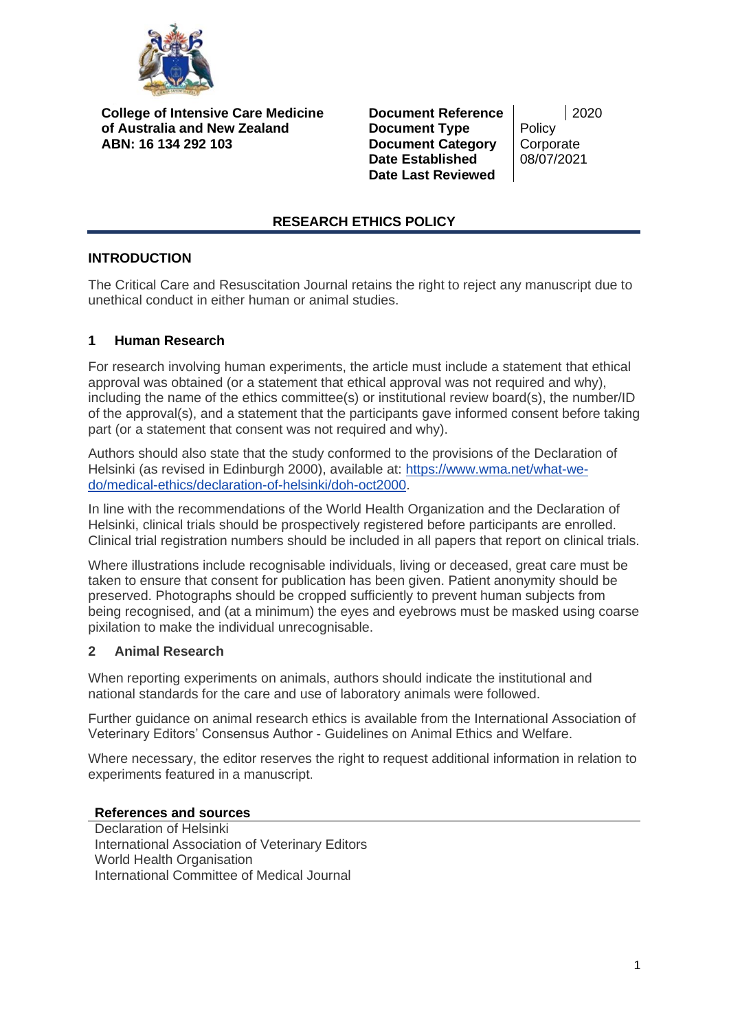

**College of Intensive Care Medicine of Australia and New Zealand ABN: 16 134 292 103**

**Document Reference** | 2020 **Document Type** Policy **Document Category | Corporate Date Established** 08/07/2021 **Date Last Reviewed**

# **RESEARCH ETHICS POLICY**

# **INTRODUCTION**

The Critical Care and Resuscitation Journal retains the right to reject any manuscript due to unethical conduct in either human or animal studies.

## **1 Human Research**

For research involving human experiments, the article must include a statement that ethical approval was obtained (or a statement that ethical approval was not required and why), including the name of the ethics committee(s) or institutional review board(s), the number/ID of the approval(s), and a statement that the participants gave informed consent before taking part (or a statement that consent was not required and why).

Authors should also state that the study conformed to the provisions of the Declaration of Helsinki (as revised in Edinburgh 2000), available at: [https://www.wma.net/what-we](https://www.wma.net/what-we-do/medical-ethics/declaration-of-helsinki/doh-oct2000)[do/medical-ethics/declaration-of-helsinki/doh-oct2000.](https://www.wma.net/what-we-do/medical-ethics/declaration-of-helsinki/doh-oct2000)

In line with the recommendations of the World Health Organization and the Declaration of Helsinki, clinical trials should be prospectively registered before participants are enrolled. Clinical trial registration numbers should be included in all papers that report on clinical trials.

Where illustrations include recognisable individuals, living or deceased, great care must be taken to ensure that consent for publication has been given. Patient anonymity should be preserved. Photographs should be cropped sufficiently to prevent human subjects from being recognised, and (at a minimum) the eyes and eyebrows must be masked using coarse pixilation to make the individual unrecognisable.

### **2 Animal Research**

When reporting experiments on animals, authors should indicate the institutional and national standards for the care and use of laboratory animals were followed.

Further guidance on animal research ethics is available from the International Association of Veterinary Editors' Consensus Author - Guidelines on Animal Ethics and Welfare.

Where necessary, the editor reserves the right to request additional information in relation to experiments featured in a manuscript.

### **References and sources**

Declaration of Helsinki International Association of Veterinary Editors World Health Organisation International Committee of Medical Journal